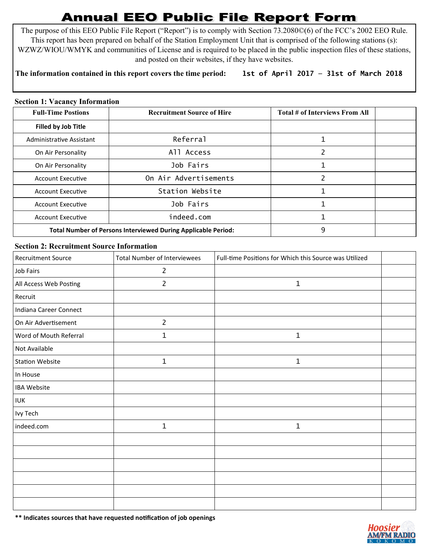# **Annual EEO Public File Report Form**

The purpose of this EEO Public File Report ("Report") is to comply with Section 73.2080©(6) of the FCC's 2002 EEO Rule. This report has been prepared on behalf of the Station Employment Unit that is comprised of the following stations (s): WZWZ/WIOU/WMYK and communities of License and is required to be placed in the public inspection files of these stations, and posted on their websites, if they have websites.

# **The information contained in this report covers the time period: 1st of April 2017 — 31st of March 2018**

## **Section 1: Vacancy Information**

| <b>Full-Time Postions</b>                                     | <b>Recruitment Source of Hire</b> | Total # of Interviews From All |  |
|---------------------------------------------------------------|-----------------------------------|--------------------------------|--|
| <b>Filled by Job Title</b>                                    |                                   |                                |  |
| Administrative Assistant                                      | Referral                          |                                |  |
| On Air Personality                                            | All Access                        | っ                              |  |
| On Air Personality                                            | Job Fairs                         |                                |  |
| <b>Account Executive</b>                                      | On Air Advertisements             | ำ                              |  |
| <b>Account Executive</b>                                      | Station Website                   |                                |  |
| <b>Account Executive</b>                                      | Job Fairs                         |                                |  |
| <b>Account Executive</b>                                      | indeed.com                        |                                |  |
| Total Number of Persons Interviewed During Applicable Period: |                                   | 9                              |  |

## **Section 2: Recruitment Source Information**

| <b>Recruitment Source</b> | <b>Total Number of Interviewees</b> | Full-time Positions for Which this Source was Utilized |  |
|---------------------------|-------------------------------------|--------------------------------------------------------|--|
| Job Fairs                 | $\overline{2}$                      |                                                        |  |
| All Access Web Posting    | $\overline{2}$                      | $\mathbf{1}$                                           |  |
| Recruit                   |                                     |                                                        |  |
| Indiana Career Connect    |                                     |                                                        |  |
| On Air Advertisement      | $\overline{2}$                      |                                                        |  |
| Word of Mouth Referral    | 1                                   | $\mathbf{1}$                                           |  |
| Not Available             |                                     |                                                        |  |
| <b>Station Website</b>    | $1\,$                               | $\mathbf{1}$                                           |  |
| In House                  |                                     |                                                        |  |
| <b>IBA Website</b>        |                                     |                                                        |  |
| <b>IUK</b>                |                                     |                                                        |  |
| Ivy Tech                  |                                     |                                                        |  |
| indeed.com                | $\mathbf{1}$                        | $\mathbf{1}$                                           |  |
|                           |                                     |                                                        |  |
|                           |                                     |                                                        |  |
|                           |                                     |                                                        |  |
|                           |                                     |                                                        |  |
|                           |                                     |                                                        |  |
|                           |                                     |                                                        |  |